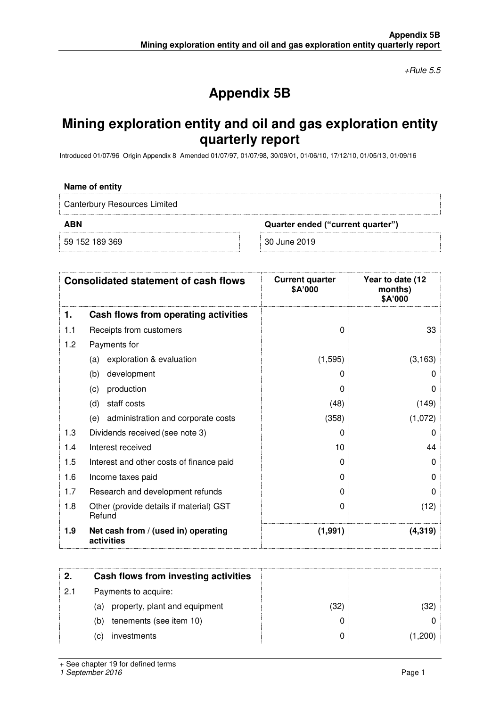$+$ Rule 5.5

# **Appendix 5B**

# **Mining exploration entity and oil and gas exploration entity quarterly report**

Introduced 01/07/96 Origin Appendix 8 Amended 01/07/97, 01/07/98, 30/09/01, 01/06/10, 17/12/10, 01/05/13, 01/09/16

#### **Name of entity**

Canterbury Resources Limited **ABN Quarter ended ("current quarter")** 59 152 189 369 30 June 2019

**Consolidated statement of cash flows Current quarter \$A'000 Year to date (12 months) \$A'000 1. Cash flows from operating activities**  1.1 Receipts from customers **and the set of the set of the set of the set of the set of the set of the set of the set of the set of the set of the set of the set of the set of the set of the set of the set of the set of th** 1.2 Payments for (a) exploration & evaluation  $(3,163)$ (b) development 0 0 (c) production  $0 \qquad 0 \qquad 0$ (d) staff costs (48) (149) (e) administration and corporate costs (358) (1,072) 1.3 Dividends received (see note 3) 0 0 1.4 Interest received and the set of the set of the set of the set of the set of the set of the set of the set of the set of the set of the set of the set of the set of the set of the set of the set of the set of the set o 1.5 Interest and other costs of finance paid 0 0 1.6 Income taxes paid 0 0 1.7 Research and development refunds **0** 0 1.8 Other (provide details if material) GST Refund  $0$  (12) **1.9 Net cash from / (used in) operating activities (1,991) (4,319)** 

| 2.  | Cash flows from investing activities |      |         |
|-----|--------------------------------------|------|---------|
| 2.1 | Payments to acquire:                 |      |         |
|     | property, plant and equipment<br>(a) | (32) | (32)    |
|     | tenements (see item 10)<br>(b)       |      |         |
|     | investments<br>(C)                   | 0    | (1,200) |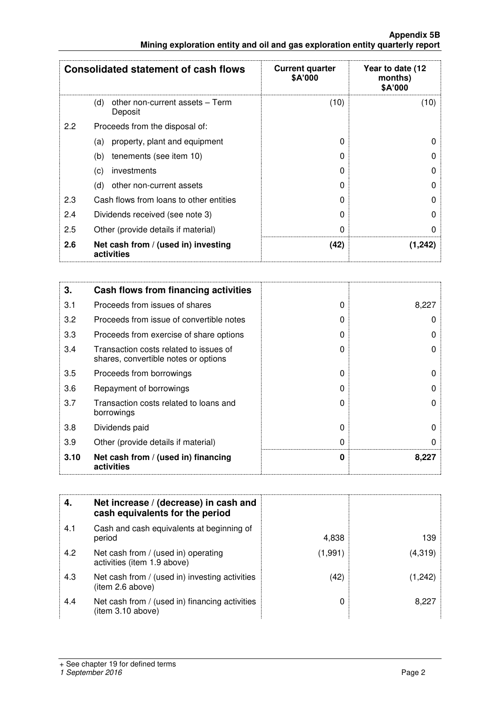|                                                                               | <b>Appendix 5B</b> |
|-------------------------------------------------------------------------------|--------------------|
| Mining exploration entity and oil and gas exploration entity quarterly report |                    |

|     | <b>Consolidated statement of cash flows</b>       | <b>Current quarter</b><br><b>\$A'000</b> | Year to date (12<br>months)<br>\$A'000 |
|-----|---------------------------------------------------|------------------------------------------|----------------------------------------|
|     | other non-current assets - Term<br>(d)<br>Deposit | (10)                                     | (10)                                   |
| 2.2 | Proceeds from the disposal of:                    |                                          |                                        |
|     | property, plant and equipment<br>(a)              | 0                                        | O                                      |
|     | tenements (see item 10)<br>(b)                    | 0                                        | 0                                      |
|     | (c)<br>investments                                | O                                        | 0                                      |
|     | (d)<br>other non-current assets                   | O                                        | 0                                      |
| 2.3 | Cash flows from loans to other entities           | 0                                        | 0                                      |
| 2.4 | Dividends received (see note 3)                   | O                                        | $\Omega$                               |
| 2.5 | Other (provide details if material)               | 0                                        | 0                                      |
| 2.6 | Net cash from / (used in) investing<br>activities | (42)                                     | (1,242)                                |

| 3.   | Cash flows from financing activities                                           |          |       |
|------|--------------------------------------------------------------------------------|----------|-------|
| 3.1  | Proceeds from issues of shares                                                 | $\Omega$ | 8,227 |
| 3.2  | Proceeds from issue of convertible notes                                       | 0        |       |
| 3.3  | Proceeds from exercise of share options                                        | O        |       |
| 3.4  | Transaction costs related to issues of<br>shares, convertible notes or options | $\Omega$ | O     |
| 3.5  | Proceeds from borrowings                                                       | O        |       |
| 3.6  | Repayment of borrowings                                                        | O        |       |
| 3.7  | Transaction costs related to loans and<br>borrowings                           | O        |       |
| 3.8  | Dividends paid                                                                 | O        | U     |
| 3.9  | Other (provide details if material)                                            | 0        |       |
| 3.10 | Net cash from / (used in) financing<br>activities                              | 0        | 8,227 |

| 4.  | Net increase / (decrease) in cash and<br>cash equivalents for the period |         |         |
|-----|--------------------------------------------------------------------------|---------|---------|
| 4.1 | Cash and cash equivalents at beginning of<br>period                      | 4,838   | 139.    |
| 4.2 | Net cash from / (used in) operating<br>activities (item 1.9 above)       | (1,991) | (4,319) |
| 4.3 | Net cash from / (used in) investing activities<br>(item 2.6 above)       | (42)    | 1.242   |
| 4.4 | Net cash from / (used in) financing activities<br>(item 3.10 above)      |         | 8.227   |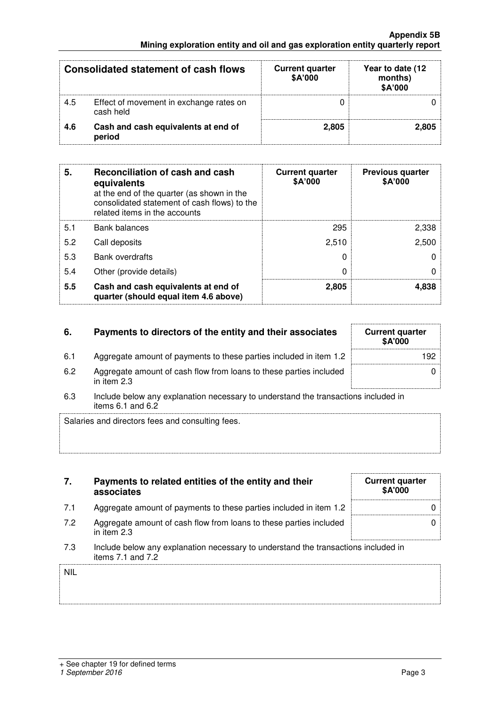## **Appendix 5B Mining exploration entity and oil and gas exploration entity quarterly report**

|     | <b>Consolidated statement of cash flows</b>          | <b>Current quarter</b><br>\$A'000 | Year to date (12<br>months)<br>\$A'000 |
|-----|------------------------------------------------------|-----------------------------------|----------------------------------------|
| 4.5 | Effect of movement in exchange rates on<br>cash held |                                   |                                        |
| 4.6 | Cash and cash equivalents at end of<br>period        | 2.805                             | 2.805                                  |

| 5.  | Reconciliation of cash and cash<br>equivalents<br>at the end of the quarter (as shown in the<br>consolidated statement of cash flows) to the<br>related items in the accounts | <b>Current quarter</b><br>\$A'000 | <b>Previous quarter</b><br>\$A'000 |
|-----|-------------------------------------------------------------------------------------------------------------------------------------------------------------------------------|-----------------------------------|------------------------------------|
| 5.1 | <b>Bank balances</b>                                                                                                                                                          | 295                               | 2,338                              |
| 5.2 | Call deposits                                                                                                                                                                 | 2,510                             | 2,500                              |
| 5.3 | <b>Bank overdrafts</b>                                                                                                                                                        |                                   |                                    |
| 5.4 | Other (provide details)                                                                                                                                                       | 0                                 |                                    |
| 5.5 | Cash and cash equivalents at end of<br>quarter (should equal item 4.6 above)                                                                                                  | 2,805                             | 4,838                              |

| 6.   | Payments to directors of the entity and their associates                          | <b>Current quarter</b><br>\$A'000 |
|------|-----------------------------------------------------------------------------------|-----------------------------------|
| -6.1 | Aggregate amount of payments to these parties included in item 1.2                | 192                               |
| 6.2  | Aggregate amount of cash flow from loans to these parties included<br>in item 2.3 |                                   |
|      |                                                                                   |                                   |

| 6.3 | Include below any explanation necessary to understand the transactions included in |
|-----|------------------------------------------------------------------------------------|
|     | items $6.1$ and $6.2$                                                              |

Salaries and directors fees and consulting fees.

| 7.         | Payments to related entities of the entity and their<br>associates                                      | <b>Current quarter</b><br>\$A'000 |
|------------|---------------------------------------------------------------------------------------------------------|-----------------------------------|
| 7.1        | Aggregate amount of payments to these parties included in item 1.2                                      |                                   |
| 7.2        | Aggregate amount of cash flow from loans to these parties included<br>in item 2.3                       |                                   |
| 7.3        | Include below any explanation necessary to understand the transactions included in<br>items 7.1 and 7.2 |                                   |
| <b>NIL</b> |                                                                                                         |                                   |
|            |                                                                                                         |                                   |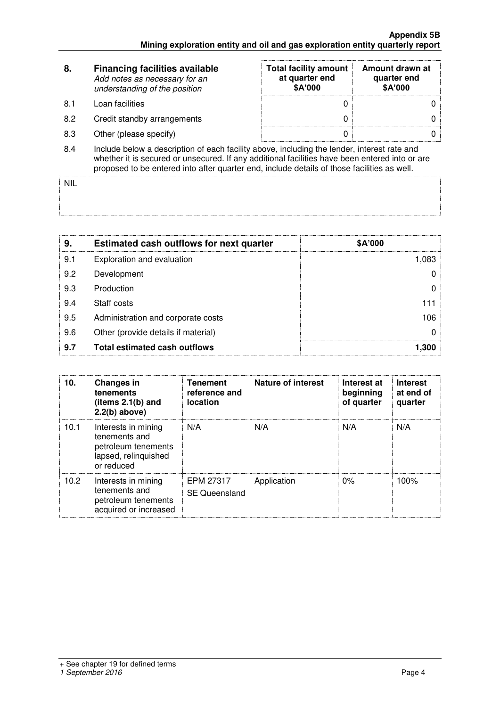| 8.  | <b>Financing facilities available</b><br>Add notes as necessary for an<br>understanding of the position | <b>Total facility amount</b><br>at quarter end<br><b>\$A'000</b> | Amount drawn at<br>quarter end<br>\$A'000 |
|-----|---------------------------------------------------------------------------------------------------------|------------------------------------------------------------------|-------------------------------------------|
| 8.1 | Loan facilities                                                                                         |                                                                  |                                           |
| 8.2 | Credit standby arrangements                                                                             | O                                                                |                                           |
| 8.3 | Other (please specify)                                                                                  |                                                                  |                                           |
| 8.4 | Include below a description of each facility above, including the lender, interest rate and             |                                                                  |                                           |

8.4 Include below a description of each facility above, including the lender, interest rate and whether it is secured or unsecured. If any additional facilities have been entered into or are proposed to be entered into after quarter end, include details of those facilities as well.

NIL

| 9.  | <b>Estimated cash outflows for next quarter</b> | \$A'000 |
|-----|-------------------------------------------------|---------|
| 9.1 | Exploration and evaluation                      | 1,083   |
| 9.2 | Development                                     |         |
| 9.3 | Production                                      |         |
| 9.4 | Staff costs                                     | 111     |
| 9.5 | Administration and corporate costs              | 106     |
| 9.6 | Other (provide details if material)             |         |
| 9.7 | <b>Total estimated cash outflows</b>            | 1,300   |

| 10.               | <b>Changes in</b><br>tenements<br>(items $2.1(b)$ and<br>$2.2(b)$ above)                          | <b>Tenement</b><br>reference and<br>location | Nature of interest | Interest at<br>beginning<br>of quarter | <b>Interest</b><br>at end of<br>quarter |
|-------------------|---------------------------------------------------------------------------------------------------|----------------------------------------------|--------------------|----------------------------------------|-----------------------------------------|
| 10.1              | Interests in mining<br>tenements and<br>petroleum tenements<br>lapsed, relinquished<br>or reduced | N/A                                          | N/A                | N/A                                    | N/A                                     |
| 10.2 <sub>1</sub> | Interests in mining<br>tenements and<br>petroleum tenements<br>acquired or increased              | EPM 27317<br><b>SE Queensland</b>            | Application        | 0%                                     | 100%                                    |